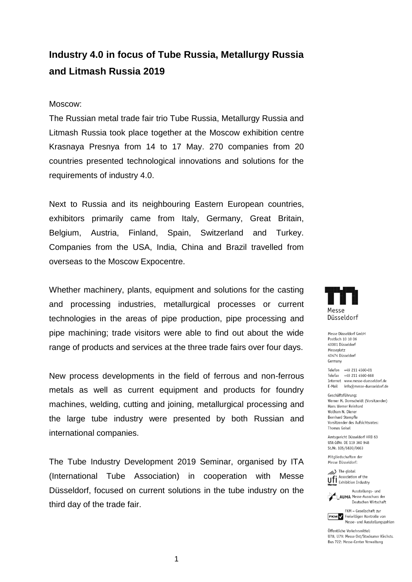## **Industry 4.0 in focus of Tube Russia, Metallurgy Russia and Litmash Russia 2019**

## Moscow:

The Russian metal trade fair trio Tube Russia, Metallurgy Russia and Litmash Russia took place together at the Moscow exhibition centre Krasnaya Presnya from 14 to 17 May. 270 companies from 20 countries presented technological innovations and solutions for the requirements of industry 4.0.

Next to Russia and its neighbouring Eastern European countries, exhibitors primarily came from Italy, Germany, Great Britain, Belgium, Austria, Finland, Spain, Switzerland and Turkey. Companies from the USA, India, China and Brazil travelled from overseas to the Moscow Expocentre.

Whether machinery, plants, equipment and solutions for the casting and processing industries, metallurgical processes or current technologies in the areas of pipe production, pipe processing and pipe machining; trade visitors were able to find out about the wide range of products and services at the three trade fairs over four days.

New process developments in the field of ferrous and non-ferrous metals as well as current equipment and products for foundry machines, welding, cutting and joining, metallurgical processing and the large tube industry were presented by both Russian and international companies.

The Tube Industry Development 2019 Seminar, organised by ITA (International Tube Association) in cooperation with Messe Düsseldorf, focused on current solutions in the tube industry on the third day of the trade fair.



Messe Düsseldorf GmbH Postfach 10 10 06 40001 Diisseldorf Messeplatz 40474 Düsseldorf Germany

Telefon +69 211 6560-01 Telefax +49 211 4560-668 Internet www.messe-duesseldorf.de E-Mail info@messe-duesseldorf.de

Geschäftsführung: Werner M. Dornscheidt (Vorsitzender) Hans Werner Reinhard Wolfram N. Diener Bernhard Stempfle Vorsitzender des Aufsichtsrates: Thomas Geisel

Amtsgericht Düsseldorf HRB 63 USt-IdNr. DE 119 360 948 St.Nr. 105/5830/0663

Mitaliedschaften der Messe Düsseldorf:

The global **Ufi** Association of the



AUMA Messe-Ausschuss der Deutschen Wirtschaft

FKM - Gesellschaft zur **FKM** / Freiwilligen Kontrolle von Messe- und Ausstellungszahlen

Öffentliche Verkehrsmittel: 1178 1179: Messe Ost/Stockumer Kirchstr. Bus 722: Messe-Center Verwaltung